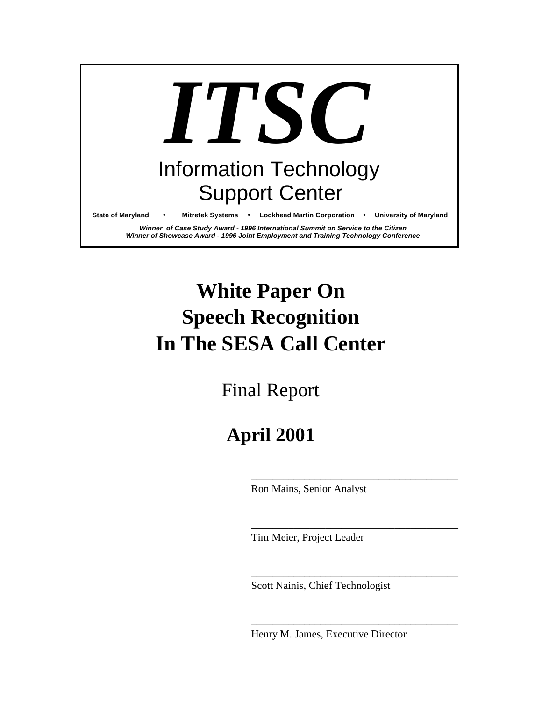

# **White Paper On Speech Recognition In The SESA Call Center**

Final Report

# **April 2001**

Ron Mains, Senior Analyst

\_\_\_\_\_\_\_\_\_\_\_\_\_\_\_\_\_\_\_\_\_\_\_\_\_\_\_\_\_\_\_\_\_\_\_\_\_\_\_

\_\_\_\_\_\_\_\_\_\_\_\_\_\_\_\_\_\_\_\_\_\_\_\_\_\_\_\_\_\_\_\_\_\_\_\_\_\_\_

\_\_\_\_\_\_\_\_\_\_\_\_\_\_\_\_\_\_\_\_\_\_\_\_\_\_\_\_\_\_\_\_\_\_\_\_\_\_\_

\_\_\_\_\_\_\_\_\_\_\_\_\_\_\_\_\_\_\_\_\_\_\_\_\_\_\_\_\_\_\_\_\_\_\_\_\_\_\_

Tim Meier, Project Leader

Scott Nainis, Chief Technologist

Henry M. James, Executive Director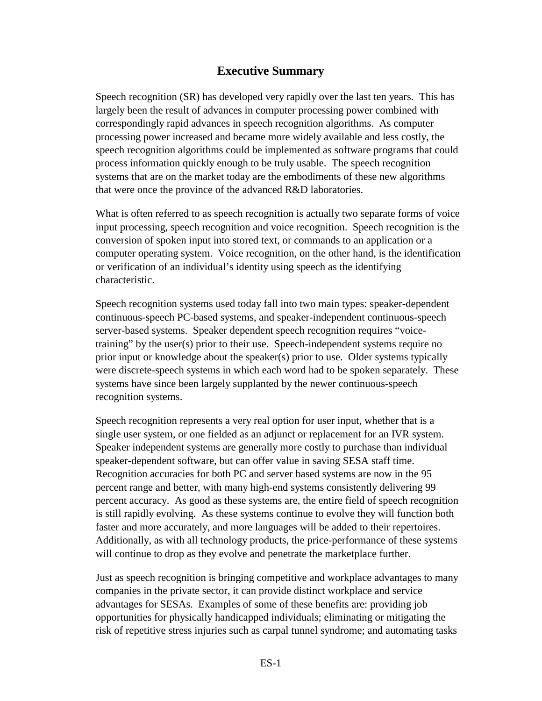#### **Executive Summary**

Speech recognition (SR) has developed very rapidly over the last ten years. This has largely been the result of advances in computer processing power combined with correspondingly rapid advances in speech recognition algorithms. As computer processing power increased and became more widely available and less costly, the speech recognition algorithms could be implemented as software programs that could process information quickly enough to be truly usable. The speech recognition systems that are on the market today are the embodiments of these new algorithms that were once the province of the advanced R&D laboratories.

What is often referred to as speech recognition is actually two separate forms of voice input processing, speech recognition and voice recognition. Speech recognition is the conversion of spoken input into stored text, or commands to an application or a computer operating system. Voice recognition, on the other hand, is the identification or verification of an individual's identity using speech as the identifying characteristic.

Speech recognition systems used today fall into two main types: speaker-dependent continuous-speech PC-based systems, and speaker-independent continuous-speech server-based systems. Speaker dependent speech recognition requires "voicetraining" by the user(s) prior to their use. Speech-independent systems require no prior input or knowledge about the speaker(s) prior to use. Older systems typically were discrete-speech systems in which each word had to be spoken separately. These systems have since been largely supplanted by the newer continuous-speech recognition systems.

Speech recognition represents a very real option for user input, whether that is a single user system, or one fielded as an adjunct or replacement for an IVR system. Speaker independent systems are generally more costly to purchase than individual speaker-dependent software, but can offer value in saving SESA staff time. Recognition accuracies for both PC and server based systems are now in the 95 percent range and better, with many high-end systems consistently delivering 99 percent accuracy. As good as these systems are, the entire field of speech recognition is still rapidly evolving. As these systems continue to evolve they will function both faster and more accurately, and more languages will be added to their repertoires. Additionally, as with all technology products, the price-performance of these systems will continue to drop as they evolve and penetrate the marketplace further.

Just as speech recognition is bringing competitive and workplace advantages to many companies in the private sector, it can provide distinct workplace and service advantages for SESAs. Examples of some of these benefits are: providing job opportunities for physically handicapped individuals; eliminating or mitigating the risk of repetitive stress injuries such as carpal tunnel syndrome; and automating tasks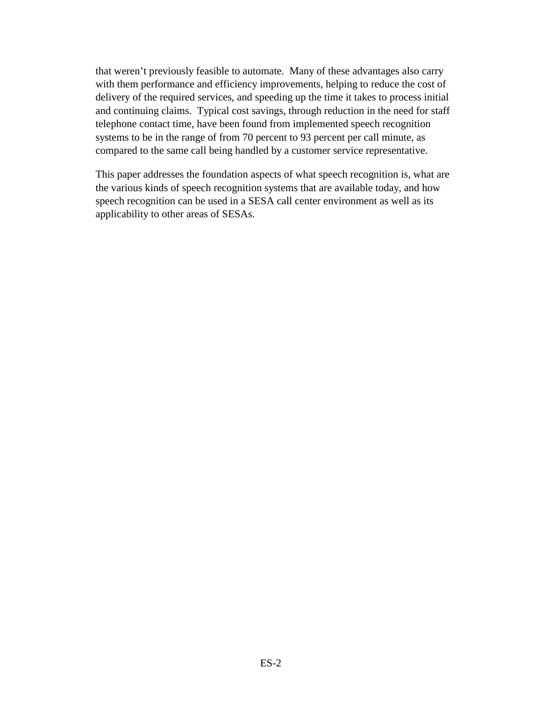that weren't previously feasible to automate. Many of these advantages also carry with them performance and efficiency improvements, helping to reduce the cost of delivery of the required services, and speeding up the time it takes to process initial and continuing claims. Typical cost savings, through reduction in the need for staff telephone contact time, have been found from implemented speech recognition systems to be in the range of from 70 percent to 93 percent per call minute, as compared to the same call being handled by a customer service representative.

This paper addresses the foundation aspects of what speech recognition is, what are the various kinds of speech recognition systems that are available today, and how speech recognition can be used in a SESA call center environment as well as its applicability to other areas of SESAs.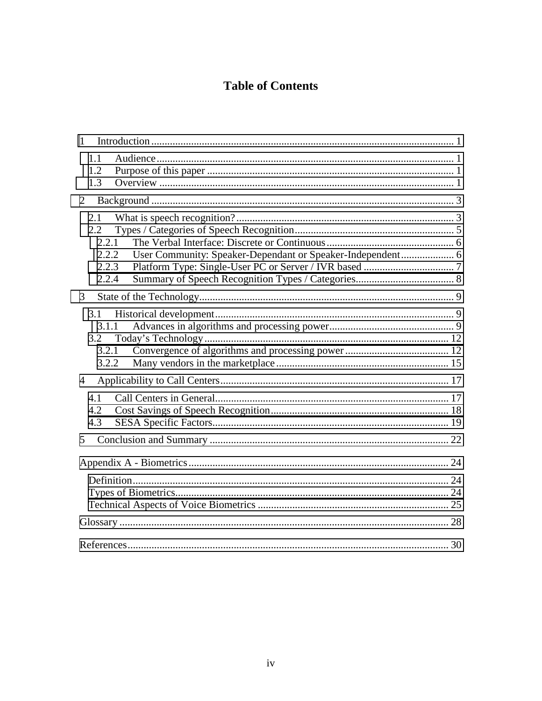## **Table of Contents**

| $\mathbf{1}$   |                                                |                                                            |  |
|----------------|------------------------------------------------|------------------------------------------------------------|--|
|                | 1.1<br>1.2<br>1.3                              |                                                            |  |
| 2              |                                                |                                                            |  |
|                | 2.1<br>2.2<br>2.2.1<br>2.2.2<br>2.2.3<br>2.2.4 | User Community: Speaker-Dependant or Speaker-Independent 6 |  |
| 3              |                                                |                                                            |  |
|                | 3.1<br>3.1.1<br>3.2<br>3.2.1<br>3.2.2          |                                                            |  |
| $\overline{4}$ |                                                |                                                            |  |
| 5              | 4.1<br>4.2<br>4.3                              |                                                            |  |
|                |                                                |                                                            |  |
|                |                                                |                                                            |  |
|                |                                                |                                                            |  |
|                |                                                |                                                            |  |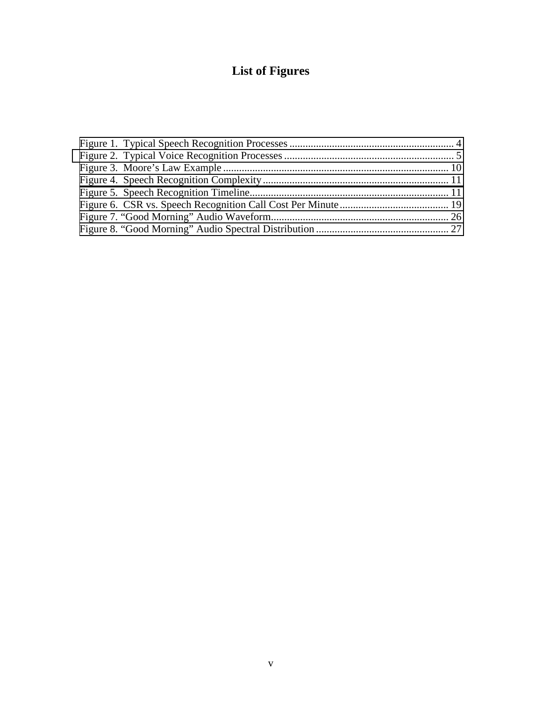# **List of Figures**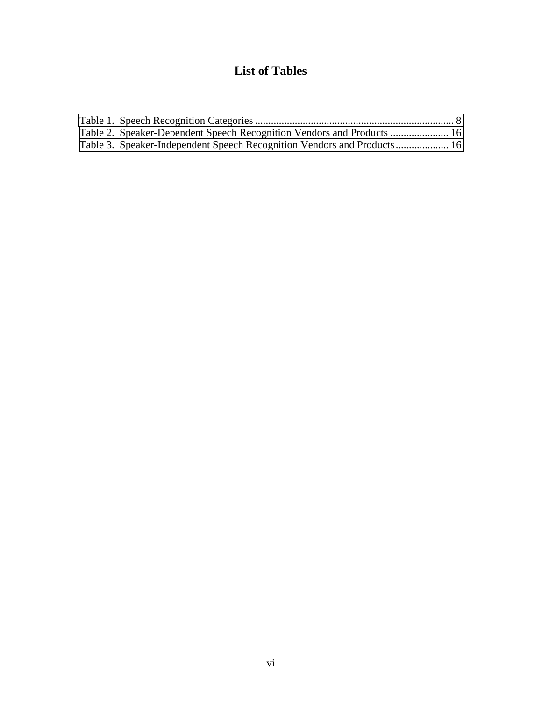### **List of Tables**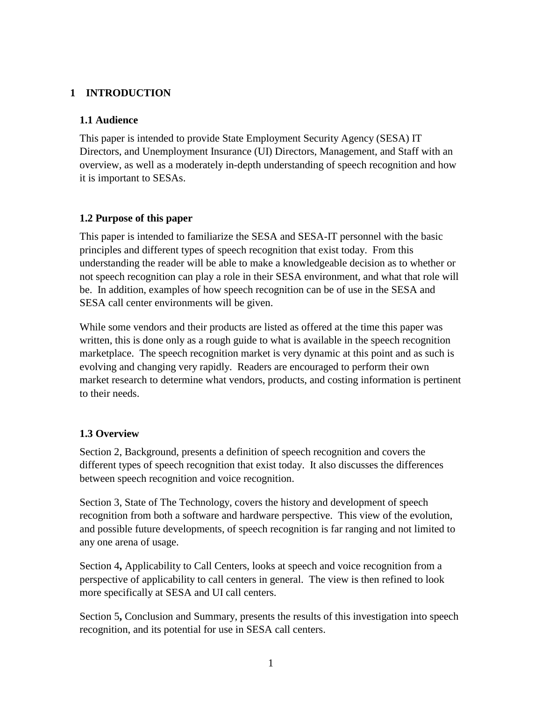#### <span id="page-6-0"></span>**1 INTRODUCTION**

#### **1.1 Audience**

This paper is intended to provide State Employment Security Agency (SESA) IT Directors, and Unemployment Insurance (UI) Directors, Management, and Staff with an overview, as well as a moderately in-depth understanding of speech recognition and how it is important to SESAs.

#### **1.2 Purpose of this paper**

This paper is intended to familiarize the SESA and SESA-IT personnel with the basic principles and different types of speech recognition that exist today. From this understanding the reader will be able to make a knowledgeable decision as to whether or not speech recognition can play a role in their SESA environment, and what that role will be. In addition, examples of how speech recognition can be of use in the SESA and SESA call center environments will be given.

While some vendors and their products are listed as offered at the time this paper was written, this is done only as a rough guide to what is available in the speech recognition marketplace. The speech recognition market is very dynamic at this point and as such is evolving and changing very rapidly. Readers are encouraged to perform their own market research to determine what vendors, products, and costing information is pertinent to their needs.

#### **1.3 Overview**

Section 2, Background, presents a definition of speech recognition and covers the different types of speech recognition that exist today. It also discusses the differences between speech recognition and voice recognition.

Section 3, State of The Technology, covers the history and development of speech recognition from both a software and hardware perspective. This view of the evolution, and possible future developments, of speech recognition is far ranging and not limited to any one arena of usage.

Section 4**,** Applicability to Call Centers, looks at speech and voice recognition from a perspective of applicability to call centers in general. The view is then refined to look more specifically at SESA and UI call centers.

Section 5**,** Conclusion and Summary, presents the results of this investigation into speech recognition, and its potential for use in SESA call centers.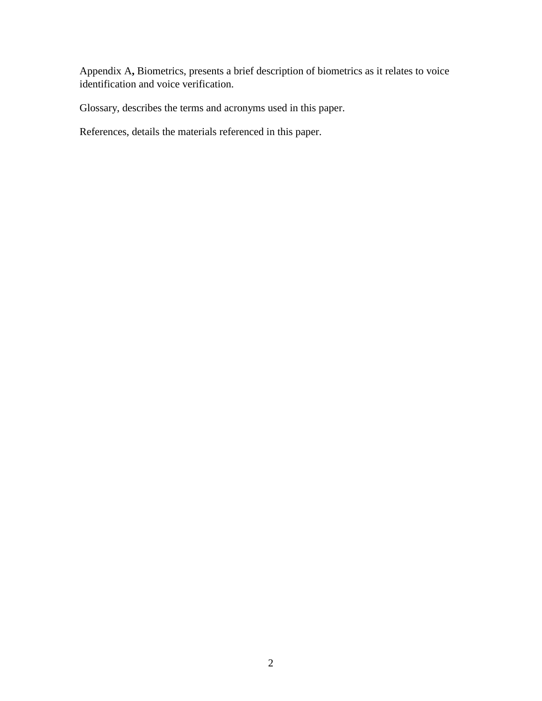Appendix A**,** Biometrics, presents a brief description of biometrics as it relates to voice identification and voice verification.

Glossary, describes the terms and acronyms used in this paper.

References, details the materials referenced in this paper.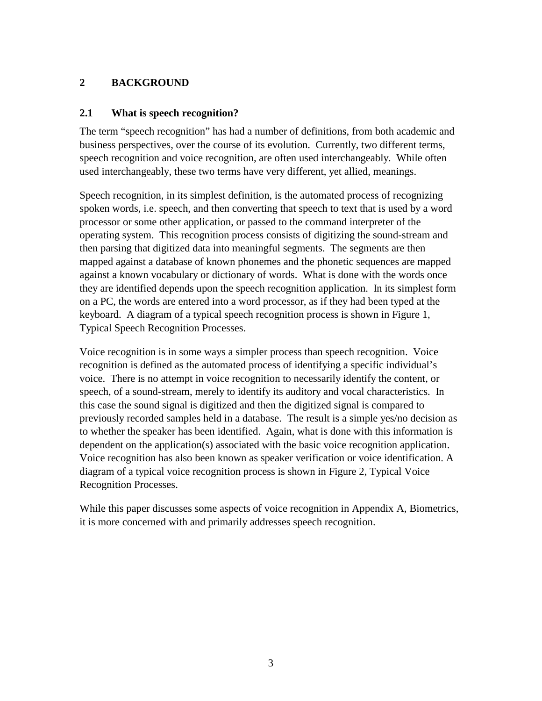#### <span id="page-8-0"></span>**2 BACKGROUND**

#### **2.1 What is speech recognition?**

The term "speech recognition" has had a number of definitions, from both academic and business perspectives, over the course of its evolution. Currently, two different terms, speech recognition and voice recognition, are often used interchangeably. While often used interchangeably, these two terms have very different, yet allied, meanings.

Speech recognition, in its simplest definition, is the automated process of recognizing spoken words, i.e. speech, and then converting that speech to text that is used by a word processor or some other application, or passed to the command interpreter of the operating system. This recognition process consists of digitizing the sound-stream and then parsing that digitized data into meaningful segments. The segments are then mapped against a database of known phonemes and the phonetic sequences are mapped against a known vocabulary or dictionary of words. What is done with the words once they are identified depends upon the speech recognition application. In its simplest form on a PC, the words are entered into a word processor, as if they had been typed at the keyboard. A diagram of a typical speech recognition process is shown in Figure 1, Typical Speech Recognition Processes.

Voice recognition is in some ways a simpler process than speech recognition. Voice recognition is defined as the automated process of identifying a specific individual's voice. There is no attempt in voice recognition to necessarily identify the content, or speech, of a sound-stream, merely to identify its auditory and vocal characteristics. In this case the sound signal is digitized and then the digitized signal is compared to previously recorded samples held in a database. The result is a simple yes/no decision as to whether the speaker has been identified. Again, what is done with this information is dependent on the application(s) associated with the basic voice recognition application. Voice recognition has also been known as speaker verification or voice identification. A diagram of a typical voice recognition process is shown in Figure 2, Typical Voice Recognition Processes.

While this paper discusses some aspects of voice recognition in Appendix A, Biometrics, it is more concerned with and primarily addresses speech recognition.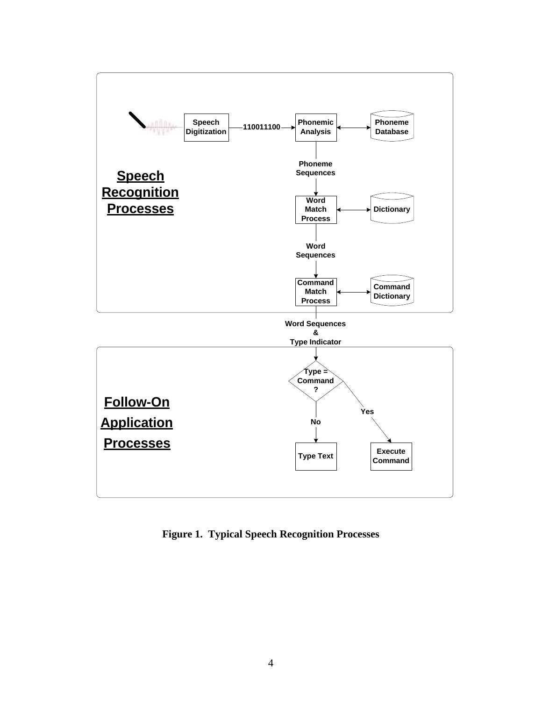<span id="page-9-0"></span>

**Figure 1. Typical Speech Recognition Processes**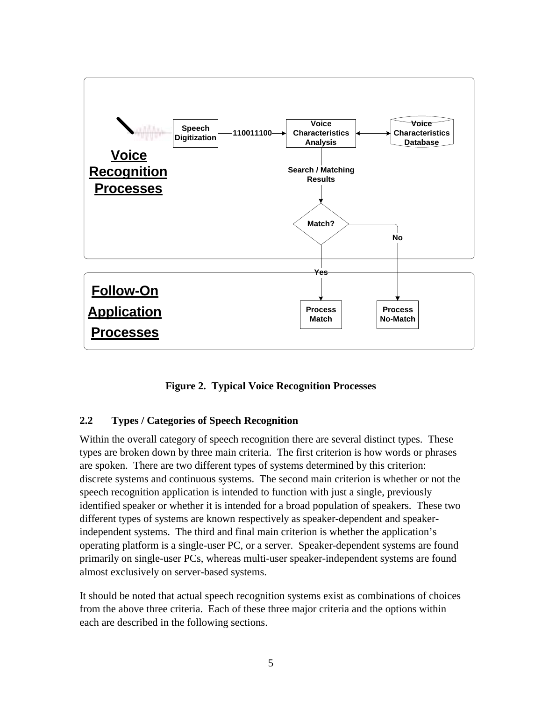<span id="page-10-0"></span>

**Figure 2. Typical Voice Recognition Processes** 

#### **2.2 Types / Categories of Speech Recognition**

Within the overall category of speech recognition there are several distinct types. These types are broken down by three main criteria. The first criterion is how words or phrases are spoken. There are two different types of systems determined by this criterion: discrete systems and continuous systems. The second main criterion is whether or not the speech recognition application is intended to function with just a single, previously identified speaker or whether it is intended for a broad population of speakers. These two different types of systems are known respectively as speaker-dependent and speakerindependent systems. The third and final main criterion is whether the application's operating platform is a single-user PC, or a server. Speaker-dependent systems are found primarily on single-user PCs, whereas multi-user speaker-independent systems are found almost exclusively on server-based systems.

It should be noted that actual speech recognition systems exist as combinations of choices from the above three criteria. Each of these three major criteria and the options within each are described in the following sections.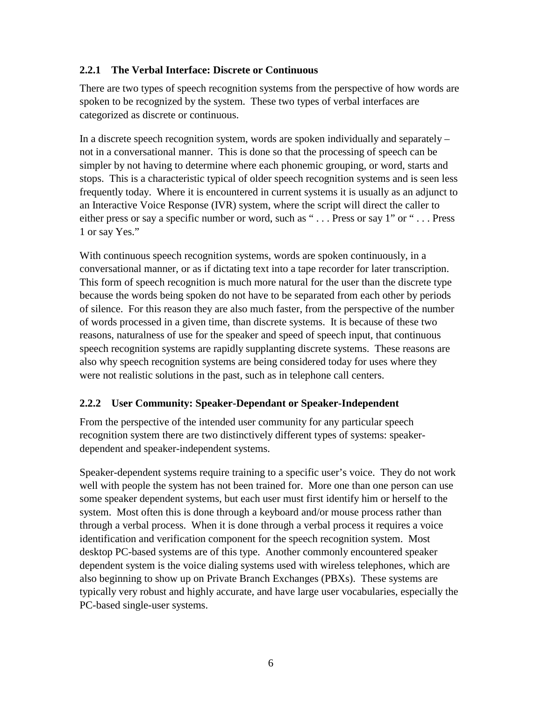#### <span id="page-11-0"></span>**2.2.1 The Verbal Interface: Discrete or Continuous**

There are two types of speech recognition systems from the perspective of how words are spoken to be recognized by the system. These two types of verbal interfaces are categorized as discrete or continuous.

In a discrete speech recognition system, words are spoken individually and separately – not in a conversational manner. This is done so that the processing of speech can be simpler by not having to determine where each phonemic grouping, or word, starts and stops. This is a characteristic typical of older speech recognition systems and is seen less frequently today. Where it is encountered in current systems it is usually as an adjunct to an Interactive Voice Response (IVR) system, where the script will direct the caller to either press or say a specific number or word, such as "... Press or say 1" or "... Press 1 or say Yes."

With continuous speech recognition systems, words are spoken continuously, in a conversational manner, or as if dictating text into a tape recorder for later transcription. This form of speech recognition is much more natural for the user than the discrete type because the words being spoken do not have to be separated from each other by periods of silence. For this reason they are also much faster, from the perspective of the number of words processed in a given time, than discrete systems. It is because of these two reasons, naturalness of use for the speaker and speed of speech input, that continuous speech recognition systems are rapidly supplanting discrete systems. These reasons are also why speech recognition systems are being considered today for uses where they were not realistic solutions in the past, such as in telephone call centers.

#### **2.2.2 User Community: Speaker-Dependant or Speaker-Independent**

From the perspective of the intended user community for any particular speech recognition system there are two distinctively different types of systems: speakerdependent and speaker-independent systems.

Speaker-dependent systems require training to a specific user's voice. They do not work well with people the system has not been trained for. More one than one person can use some speaker dependent systems, but each user must first identify him or herself to the system. Most often this is done through a keyboard and/or mouse process rather than through a verbal process. When it is done through a verbal process it requires a voice identification and verification component for the speech recognition system. Most desktop PC-based systems are of this type. Another commonly encountered speaker dependent system is the voice dialing systems used with wireless telephones, which are also beginning to show up on Private Branch Exchanges (PBXs). These systems are typically very robust and highly accurate, and have large user vocabularies, especially the PC-based single-user systems.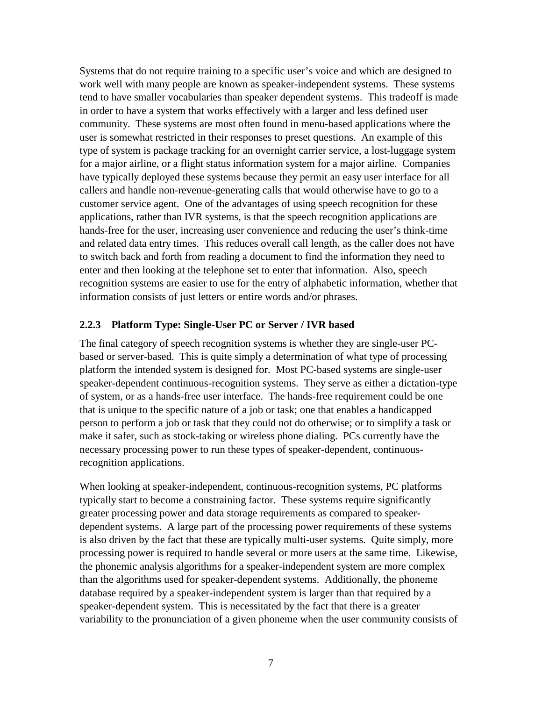<span id="page-12-0"></span>Systems that do not require training to a specific user's voice and which are designed to work well with many people are known as speaker-independent systems. These systems tend to have smaller vocabularies than speaker dependent systems. This tradeoff is made in order to have a system that works effectively with a larger and less defined user community. These systems are most often found in menu-based applications where the user is somewhat restricted in their responses to preset questions. An example of this type of system is package tracking for an overnight carrier service, a lost-luggage system for a major airline, or a flight status information system for a major airline. Companies have typically deployed these systems because they permit an easy user interface for all callers and handle non-revenue-generating calls that would otherwise have to go to a customer service agent. One of the advantages of using speech recognition for these applications, rather than IVR systems, is that the speech recognition applications are hands-free for the user, increasing user convenience and reducing the user's think-time and related data entry times. This reduces overall call length, as the caller does not have to switch back and forth from reading a document to find the information they need to enter and then looking at the telephone set to enter that information. Also, speech recognition systems are easier to use for the entry of alphabetic information, whether that information consists of just letters or entire words and/or phrases.

#### **2.2.3 Platform Type: Single-User PC or Server / IVR based**

The final category of speech recognition systems is whether they are single-user PCbased or server-based. This is quite simply a determination of what type of processing platform the intended system is designed for. Most PC-based systems are single-user speaker-dependent continuous-recognition systems. They serve as either a dictation-type of system, or as a hands-free user interface. The hands-free requirement could be one that is unique to the specific nature of a job or task; one that enables a handicapped person to perform a job or task that they could not do otherwise; or to simplify a task or make it safer, such as stock-taking or wireless phone dialing. PCs currently have the necessary processing power to run these types of speaker-dependent, continuousrecognition applications.

When looking at speaker-independent, continuous-recognition systems, PC platforms typically start to become a constraining factor. These systems require significantly greater processing power and data storage requirements as compared to speakerdependent systems. A large part of the processing power requirements of these systems is also driven by the fact that these are typically multi-user systems. Quite simply, more processing power is required to handle several or more users at the same time. Likewise, the phonemic analysis algorithms for a speaker-independent system are more complex than the algorithms used for speaker-dependent systems. Additionally, the phoneme database required by a speaker-independent system is larger than that required by a speaker-dependent system. This is necessitated by the fact that there is a greater variability to the pronunciation of a given phoneme when the user community consists of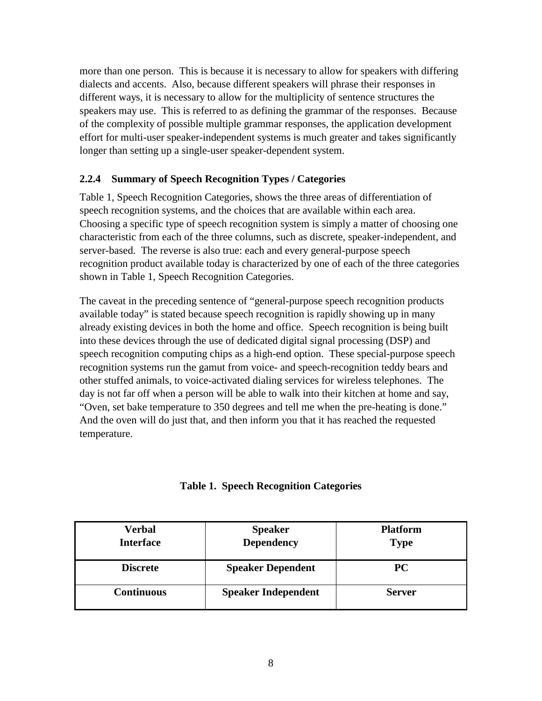<span id="page-13-0"></span>more than one person. This is because it is necessary to allow for speakers with differing dialects and accents. Also, because different speakers will phrase their responses in different ways, it is necessary to allow for the multiplicity of sentence structures the speakers may use. This is referred to as defining the grammar of the responses. Because of the complexity of possible multiple grammar responses, the application development effort for multi-user speaker-independent systems is much greater and takes significantly longer than setting up a single-user speaker-dependent system.

#### **2.2.4 Summary of Speech Recognition Types / Categories**

Table 1, Speech Recognition Categories, shows the three areas of differentiation of speech recognition systems, and the choices that are available within each area. Choosing a specific type of speech recognition system is simply a matter of choosing one characteristic from each of the three columns, such as discrete, speaker-independent, and server-based. The reverse is also true: each and every general-purpose speech recognition product available today is characterized by one of each of the three categories shown in Table 1, Speech Recognition Categories.

The caveat in the preceding sentence of "general-purpose speech recognition products available today" is stated because speech recognition is rapidly showing up in many already existing devices in both the home and office. Speech recognition is being built into these devices through the use of dedicated digital signal processing (DSP) and speech recognition computing chips as a high-end option. These special-purpose speech recognition systems run the gamut from voice- and speech-recognition teddy bears and other stuffed animals, to voice-activated dialing services for wireless telephones. The day is not far off when a person will be able to walk into their kitchen at home and say, "Oven, set bake temperature to 350 degrees and tell me when the pre-heating is done." And the oven will do just that, and then inform you that it has reached the requested temperature.

| <b>Table 1. Speech Recognition Categories</b> |  |  |  |  |
|-----------------------------------------------|--|--|--|--|
|-----------------------------------------------|--|--|--|--|

| Verbal<br><b>Interface</b> | <b>Speaker</b><br><b>Dependency</b> | <b>Platform</b><br><b>Type</b> |  |
|----------------------------|-------------------------------------|--------------------------------|--|
| <b>Discrete</b>            | <b>Speaker Dependent</b>            | <b>PC</b>                      |  |
| <b>Continuous</b>          | <b>Speaker Independent</b>          | <b>Server</b>                  |  |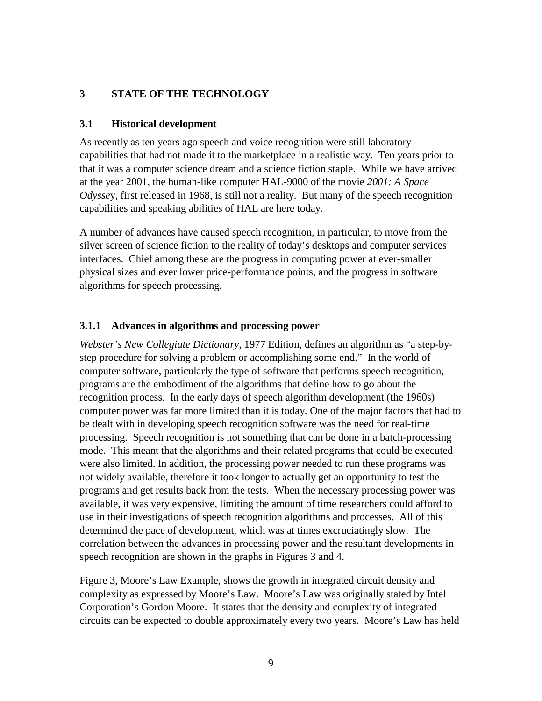#### <span id="page-14-0"></span>**3 STATE OF THE TECHNOLOGY**

#### **3.1 Historical development**

As recently as ten years ago speech and voice recognition were still laboratory capabilities that had not made it to the marketplace in a realistic way. Ten years prior to that it was a computer science dream and a science fiction staple. While we have arrived at the year 2001, the human-like computer HAL-9000 of the movie *2001: A Space Odysse*y, first released in 1968, is still not a reality. But many of the speech recognition capabilities and speaking abilities of HAL are here today.

A number of advances have caused speech recognition, in particular, to move from the silver screen of science fiction to the reality of today's desktops and computer services interfaces. Chief among these are the progress in computing power at ever-smaller physical sizes and ever lower price-performance points, and the progress in software algorithms for speech processing.

#### **3.1.1 Advances in algorithms and processing power**

*Webster's New Collegiate Dictionary*, 1977 Edition, defines an algorithm as "a step-bystep procedure for solving a problem or accomplishing some end." In the world of computer software, particularly the type of software that performs speech recognition, programs are the embodiment of the algorithms that define how to go about the recognition process. In the early days of speech algorithm development (the 1960s) computer power was far more limited than it is today. One of the major factors that had to be dealt with in developing speech recognition software was the need for real-time processing. Speech recognition is not something that can be done in a batch-processing mode. This meant that the algorithms and their related programs that could be executed were also limited. In addition, the processing power needed to run these programs was not widely available, therefore it took longer to actually get an opportunity to test the programs and get results back from the tests. When the necessary processing power was available, it was very expensive, limiting the amount of time researchers could afford to use in their investigations of speech recognition algorithms and processes. All of this determined the pace of development, which was at times excruciatingly slow. The correlation between the advances in processing power and the resultant developments in speech recognition are shown in the graphs in Figures 3 and 4.

Figure 3, Moore's Law Example, shows the growth in integrated circuit density and complexity as expressed by Moore's Law. Moore's Law was originally stated by Intel Corporation's Gordon Moore. It states that the density and complexity of integrated circuits can be expected to double approximately every two years. Moore's Law has held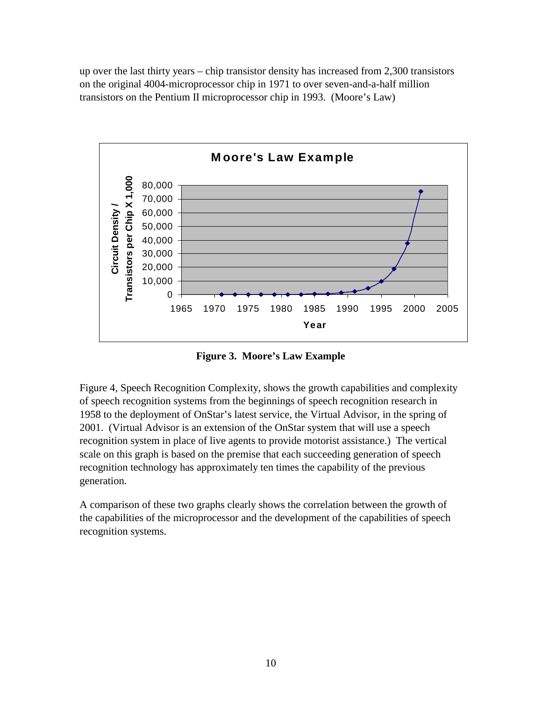<span id="page-15-0"></span>up over the last thirty years – chip transistor density has increased from 2,300 transistors on the original 4004-microprocessor chip in 1971 to over seven-and-a-half million transistors on the Pentium II microprocessor chip in 1993. (Moore's Law)



**Figure 3. Moore's Law Example** 

Figure 4, Speech Recognition Complexity, shows the growth capabilities and complexity of speech recognition systems from the beginnings of speech recognition research in 1958 to the deployment of OnStar's latest service, the Virtual Advisor, in the spring of 2001. (Virtual Advisor is an extension of the OnStar system that will use a speech recognition system in place of live agents to provide motorist assistance.) The vertical scale on this graph is based on the premise that each succeeding generation of speech recognition technology has approximately ten times the capability of the previous generation.

A comparison of these two graphs clearly shows the correlation between the growth of the capabilities of the microprocessor and the development of the capabilities of speech recognition systems.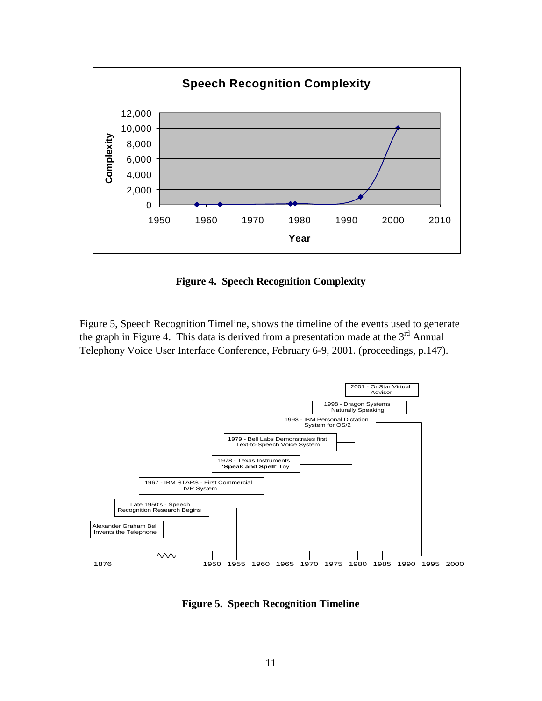<span id="page-16-0"></span>

**Figure 4. Speech Recognition Complexity** 

Figure 5, Speech Recognition Timeline, shows the timeline of the events used to generate the graph in Figure 4. This data is derived from a presentation made at the  $3<sup>rd</sup>$  Annual Telephony Voice User Interface Conference, February 6-9, 2001. (proceedings, p.147).



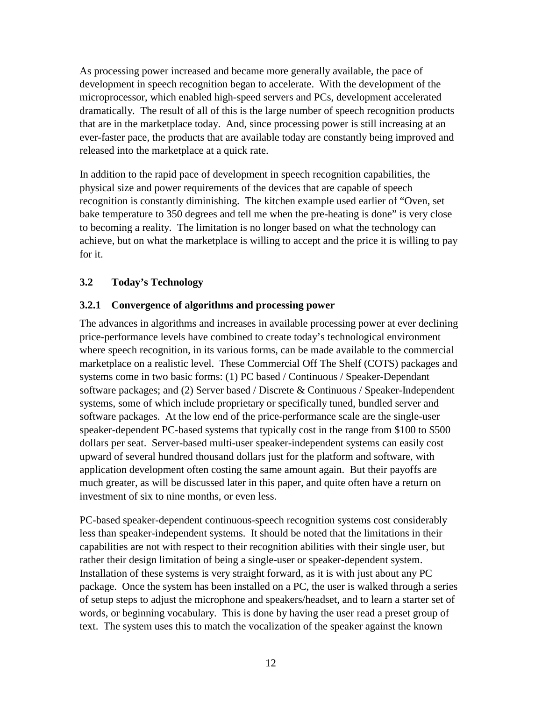<span id="page-17-0"></span>As processing power increased and became more generally available, the pace of development in speech recognition began to accelerate. With the development of the microprocessor, which enabled high-speed servers and PCs, development accelerated dramatically. The result of all of this is the large number of speech recognition products that are in the marketplace today. And, since processing power is still increasing at an ever-faster pace, the products that are available today are constantly being improved and released into the marketplace at a quick rate.

In addition to the rapid pace of development in speech recognition capabilities, the physical size and power requirements of the devices that are capable of speech recognition is constantly diminishing. The kitchen example used earlier of "Oven, set bake temperature to 350 degrees and tell me when the pre-heating is done" is very close to becoming a reality. The limitation is no longer based on what the technology can achieve, but on what the marketplace is willing to accept and the price it is willing to pay for it.

#### **3.2 Today's Technology**

#### **3.2.1 Convergence of algorithms and processing power**

The advances in algorithms and increases in available processing power at ever declining price-performance levels have combined to create today's technological environment where speech recognition, in its various forms, can be made available to the commercial marketplace on a realistic level. These Commercial Off The Shelf (COTS) packages and systems come in two basic forms: (1) PC based / Continuous / Speaker-Dependant software packages; and (2) Server based / Discrete & Continuous / Speaker-Independent systems, some of which include proprietary or specifically tuned, bundled server and software packages. At the low end of the price-performance scale are the single-user speaker-dependent PC-based systems that typically cost in the range from \$100 to \$500 dollars per seat. Server-based multi-user speaker-independent systems can easily cost upward of several hundred thousand dollars just for the platform and software, with application development often costing the same amount again. But their payoffs are much greater, as will be discussed later in this paper, and quite often have a return on investment of six to nine months, or even less.

PC-based speaker-dependent continuous-speech recognition systems cost considerably less than speaker-independent systems. It should be noted that the limitations in their capabilities are not with respect to their recognition abilities with their single user, but rather their design limitation of being a single-user or speaker-dependent system. Installation of these systems is very straight forward, as it is with just about any PC package. Once the system has been installed on a PC, the user is walked through a series of setup steps to adjust the microphone and speakers/headset, and to learn a starter set of words, or beginning vocabulary. This is done by having the user read a preset group of text. The system uses this to match the vocalization of the speaker against the known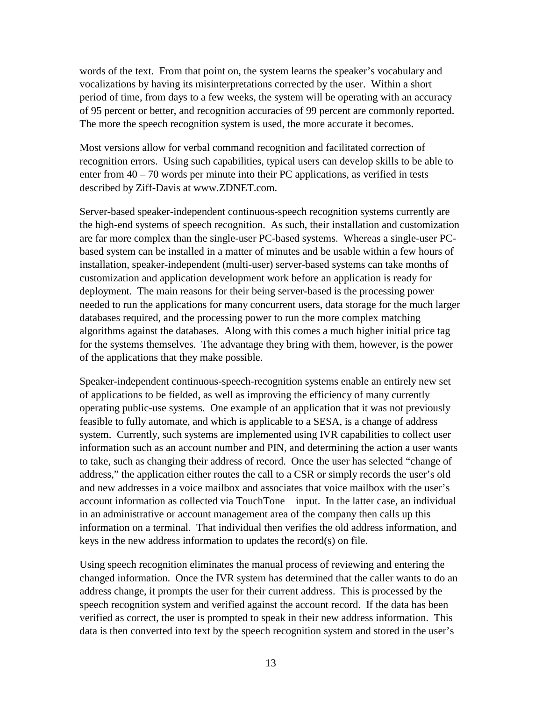words of the text. From that point on, the system learns the speaker's vocabulary and vocalizations by having its misinterpretations corrected by the user. Within a short period of time, from days to a few weeks, the system will be operating with an accuracy of 95 percent or better, and recognition accuracies of 99 percent are commonly reported. The more the speech recognition system is used, the more accurate it becomes.

Most versions allow for verbal command recognition and facilitated correction of recognition errors. Using such capabilities, typical users can develop skills to be able to enter from 40 – 70 words per minute into their PC applications, as verified in tests described by Ziff-Davis at www.ZDNET.com.

Server-based speaker-independent continuous-speech recognition systems currently are the high-end systems of speech recognition. As such, their installation and customization are far more complex than the single-user PC-based systems. Whereas a single-user PCbased system can be installed in a matter of minutes and be usable within a few hours of installation, speaker-independent (multi-user) server-based systems can take months of customization and application development work before an application is ready for deployment. The main reasons for their being server-based is the processing power needed to run the applications for many concurrent users, data storage for the much larger databases required, and the processing power to run the more complex matching algorithms against the databases. Along with this comes a much higher initial price tag for the systems themselves. The advantage they bring with them, however, is the power of the applications that they make possible.

Speaker-independent continuous-speech-recognition systems enable an entirely new set of applications to be fielded, as well as improving the efficiency of many currently operating public-use systems. One example of an application that it was not previously feasible to fully automate, and which is applicable to a SESA, is a change of address system. Currently, such systems are implemented using IVR capabilities to collect user information such as an account number and PIN, and determining the action a user wants to take, such as changing their address of record. Once the user has selected "change of address," the application either routes the call to a CSR or simply records the user's old and new addresses in a voice mailbox and associates that voice mailbox with the user's account information as collected via TouchTone® input. In the latter case, an individual in an administrative or account management area of the company then calls up this information on a terminal. That individual then verifies the old address information, and keys in the new address information to updates the record(s) on file.

Using speech recognition eliminates the manual process of reviewing and entering the changed information. Once the IVR system has determined that the caller wants to do an address change, it prompts the user for their current address. This is processed by the speech recognition system and verified against the account record. If the data has been verified as correct, the user is prompted to speak in their new address information. This data is then converted into text by the speech recognition system and stored in the user's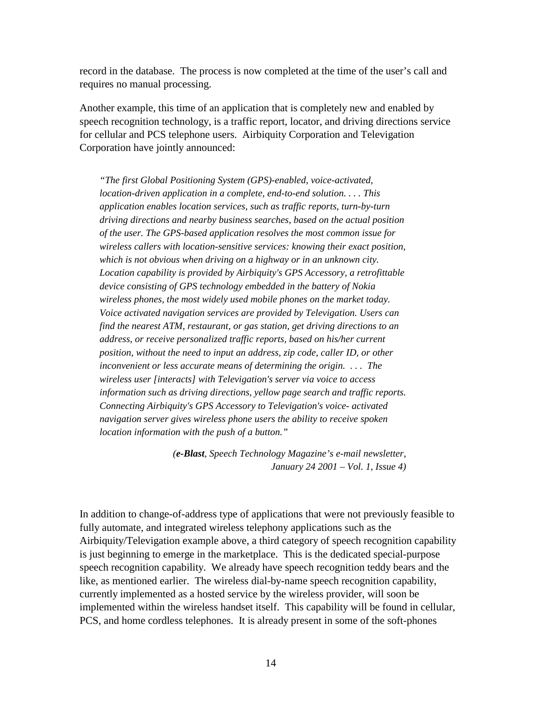record in the database. The process is now completed at the time of the user's call and requires no manual processing.

Another example, this time of an application that is completely new and enabled by speech recognition technology, is a traffic report, locator, and driving directions service for cellular and PCS telephone users. Airbiquity Corporation and Televigation Corporation have jointly announced:

*"The first Global Positioning System (GPS)-enabled, voice-activated, location-driven application in a complete, end-to-end solution. . . . This application enables location services, such as traffic reports, turn-by-turn driving directions and nearby business searches, based on the actual position of the user. The GPS-based application resolves the most common issue for wireless callers with location-sensitive services: knowing their exact position, which is not obvious when driving on a highway or in an unknown city. Location capability is provided by Airbiquity's GPS Accessory, a retrofittable device consisting of GPS technology embedded in the battery of Nokia wireless phones, the most widely used mobile phones on the market today. Voice activated navigation services are provided by Televigation. Users can find the nearest ATM, restaurant, or gas station, get driving directions to an address, or receive personalized traffic reports, based on his/her current position, without the need to input an address, zip code, caller ID, or other inconvenient or less accurate means of determining the origin. . . . The wireless user [interacts] with Televigation's server via voice to access information such as driving directions, yellow page search and traffic reports. Connecting Airbiquity's GPS Accessory to Televigation's voice- activated navigation server gives wireless phone users the ability to receive spoken location information with the push of a button."* 

> *(e-Blast, Speech Technology Magazine's e-mail newsletter, January 24 2001 – Vol. 1, Issue 4)*

In addition to change-of-address type of applications that were not previously feasible to fully automate, and integrated wireless telephony applications such as the Airbiquity/Televigation example above, a third category of speech recognition capability is just beginning to emerge in the marketplace. This is the dedicated special-purpose speech recognition capability. We already have speech recognition teddy bears and the like, as mentioned earlier. The wireless dial-by-name speech recognition capability, currently implemented as a hosted service by the wireless provider, will soon be implemented within the wireless handset itself. This capability will be found in cellular, PCS, and home cordless telephones. It is already present in some of the soft-phones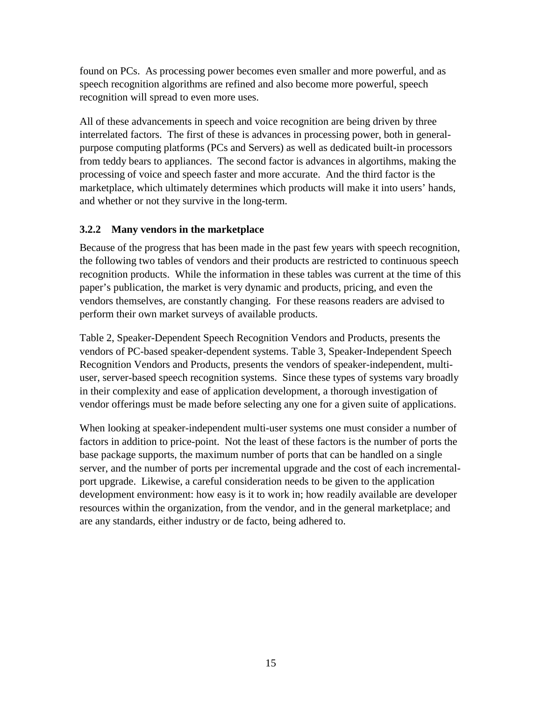<span id="page-20-0"></span>found on PCs. As processing power becomes even smaller and more powerful, and as speech recognition algorithms are refined and also become more powerful, speech recognition will spread to even more uses.

All of these advancements in speech and voice recognition are being driven by three interrelated factors. The first of these is advances in processing power, both in generalpurpose computing platforms (PCs and Servers) as well as dedicated built-in processors from teddy bears to appliances. The second factor is advances in algortihms, making the processing of voice and speech faster and more accurate. And the third factor is the marketplace, which ultimately determines which products will make it into users' hands, and whether or not they survive in the long-term.

#### **3.2.2 Many vendors in the marketplace**

Because of the progress that has been made in the past few years with speech recognition, the following two tables of vendors and their products are restricted to continuous speech recognition products. While the information in these tables was current at the time of this paper's publication, the market is very dynamic and products, pricing, and even the vendors themselves, are constantly changing. For these reasons readers are advised to perform their own market surveys of available products.

Table 2, Speaker-Dependent Speech Recognition Vendors and Products, presents the vendors of PC-based speaker-dependent systems. Table 3, Speaker-Independent Speech Recognition Vendors and Products, presents the vendors of speaker-independent, multiuser, server-based speech recognition systems. Since these types of systems vary broadly in their complexity and ease of application development, a thorough investigation of vendor offerings must be made before selecting any one for a given suite of applications.

When looking at speaker-independent multi-user systems one must consider a number of factors in addition to price-point. Not the least of these factors is the number of ports the base package supports, the maximum number of ports that can be handled on a single server, and the number of ports per incremental upgrade and the cost of each incrementalport upgrade. Likewise, a careful consideration needs to be given to the application development environment: how easy is it to work in; how readily available are developer resources within the organization, from the vendor, and in the general marketplace; and are any standards, either industry or de facto, being adhered to.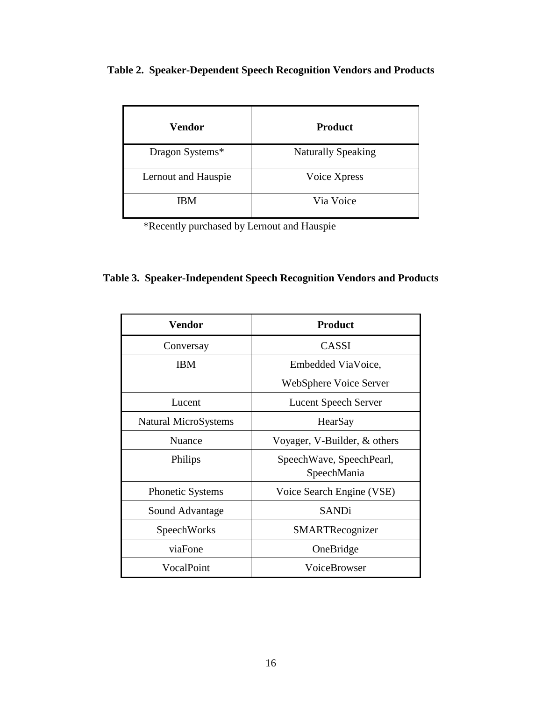<span id="page-21-0"></span>

|  |  |  |  |  | Table 2. Speaker-Dependent Speech Recognition Vendors and Products |  |
|--|--|--|--|--|--------------------------------------------------------------------|--|
|--|--|--|--|--|--------------------------------------------------------------------|--|

| Vendor              | <b>Product</b>            |
|---------------------|---------------------------|
| Dragon Systems*     | <b>Naturally Speaking</b> |
| Lernout and Hauspie | Voice Xpress              |
| <b>IBM</b>          | Via Voice                 |

\*Recently purchased by Lernout and Hauspie

|  | Table 3. Speaker-Independent Speech Recognition Vendors and Products |  |  |
|--|----------------------------------------------------------------------|--|--|
|  |                                                                      |  |  |

| <b>Vendor</b>           | <b>Product</b>                          |
|-------------------------|-----------------------------------------|
| Conversay               | CASSI                                   |
| ΙBΜ                     | Embedded ViaVoice,                      |
|                         | WebSphere Voice Server                  |
| Lucent                  | <b>Lucent Speech Server</b>             |
| Natural MicroSystems    | HearSay                                 |
| Nuance                  | Voyager, V-Builder, & others            |
| Philips                 | SpeechWave, SpeechPearl,<br>SpeechMania |
| <b>Phonetic Systems</b> | Voice Search Engine (VSE)               |
| Sound Advantage         | <b>SANDi</b>                            |
| SpeechWorks             | SMARTRecognizer                         |
| viaFone                 | OneBridge                               |
| VocalPoint              | VoiceBrowser                            |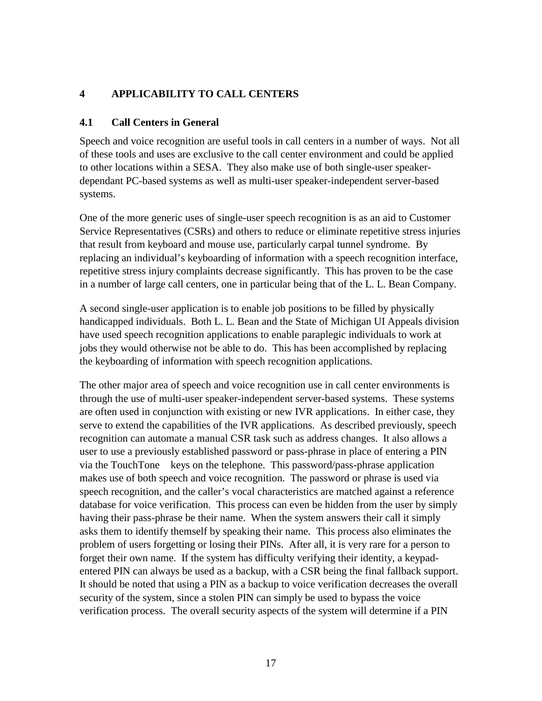#### <span id="page-22-0"></span>**4 APPLICABILITY TO CALL CENTERS**

#### **4.1 Call Centers in General**

Speech and voice recognition are useful tools in call centers in a number of ways. Not all of these tools and uses are exclusive to the call center environment and could be applied to other locations within a SESA. They also make use of both single-user speakerdependant PC-based systems as well as multi-user speaker-independent server-based systems.

One of the more generic uses of single-user speech recognition is as an aid to Customer Service Representatives (CSRs) and others to reduce or eliminate repetitive stress injuries that result from keyboard and mouse use, particularly carpal tunnel syndrome. By replacing an individual's keyboarding of information with a speech recognition interface, repetitive stress injury complaints decrease significantly. This has proven to be the case in a number of large call centers, one in particular being that of the L. L. Bean Company.

A second single-user application is to enable job positions to be filled by physically handicapped individuals. Both L. L. Bean and the State of Michigan UI Appeals division have used speech recognition applications to enable paraplegic individuals to work at jobs they would otherwise not be able to do. This has been accomplished by replacing the keyboarding of information with speech recognition applications.

The other major area of speech and voice recognition use in call center environments is through the use of multi-user speaker-independent server-based systems. These systems are often used in conjunction with existing or new IVR applications. In either case, they serve to extend the capabilities of the IVR applications. As described previously, speech recognition can automate a manual CSR task such as address changes. It also allows a user to use a previously established password or pass-phrase in place of entering a PIN via the TouchTone<sup>®</sup> keys on the telephone. This password/pass-phrase application makes use of both speech and voice recognition. The password or phrase is used via speech recognition, and the caller's vocal characteristics are matched against a reference database for voice verification. This process can even be hidden from the user by simply having their pass-phrase be their name. When the system answers their call it simply asks them to identify themself by speaking their name. This process also eliminates the problem of users forgetting or losing their PINs. After all, it is very rare for a person to forget their own name. If the system has difficulty verifying their identity, a keypadentered PIN can always be used as a backup, with a CSR being the final fallback support. It should be noted that using a PIN as a backup to voice verification decreases the overall security of the system, since a stolen PIN can simply be used to bypass the voice verification process. The overall security aspects of the system will determine if a PIN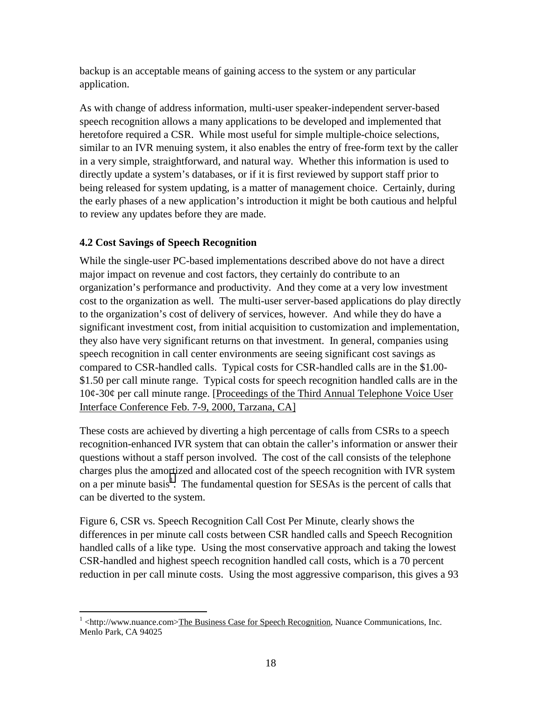<span id="page-23-0"></span>backup is an acceptable means of gaining access to the system or any particular application.

As with change of address information, multi-user speaker-independent server-based speech recognition allows a many applications to be developed and implemented that heretofore required a CSR. While most useful for simple multiple-choice selections, similar to an IVR menuing system, it also enables the entry of free-form text by the caller in a very simple, straightforward, and natural way. Whether this information is used to directly update a system's databases, or if it is first reviewed by support staff prior to being released for system updating, is a matter of management choice. Certainly, during the early phases of a new application's introduction it might be both cautious and helpful to review any updates before they are made.

#### **4.2 Cost Savings of Speech Recognition**

While the single-user PC-based implementations described above do not have a direct major impact on revenue and cost factors, they certainly do contribute to an organization's performance and productivity. And they come at a very low investment cost to the organization as well. The multi-user server-based applications do play directly to the organization's cost of delivery of services, however. And while they do have a significant investment cost, from initial acquisition to customization and implementation, they also have very significant returns on that investment. In general, companies using speech recognition in call center environments are seeing significant cost savings as compared to CSR-handled calls. Typical costs for CSR-handled calls are in the \$1.00- \$1.50 per call minute range. Typical costs for speech recognition handled calls are in the 10¢-30¢ per call minute range. [Proceedings of the Third Annual Telephone Voice User Interface Conference Feb. 7-9, 2000, Tarzana, CA]

These costs are achieved by diverting a high percentage of calls from CSRs to a speech recognition-enhanced IVR system that can obtain the caller's information or answer their questions without a staff person involved. The cost of the call consists of the telephone charges plus the amortized and allocated cost of the speech recognition with IVR system on a per minute basis<sup>1</sup>. The fundamental question for SESAs is the percent of calls that can be diverted to the system.

Figure 6, CSR vs. Speech Recognition Call Cost Per Minute, clearly shows the differences in per minute call costs between CSR handled calls and Speech Recognition handled calls of a like type. Using the most conservative approach and taking the lowest CSR-handled and highest speech recognition handled call costs, which is a 70 percent reduction in per call minute costs. Using the most aggressive comparison, this gives a 93

 $1$  <http://www.nuance.com>The Business Case for Speech Recognition, Nuance Communications, Inc. Menlo Park, CA 94025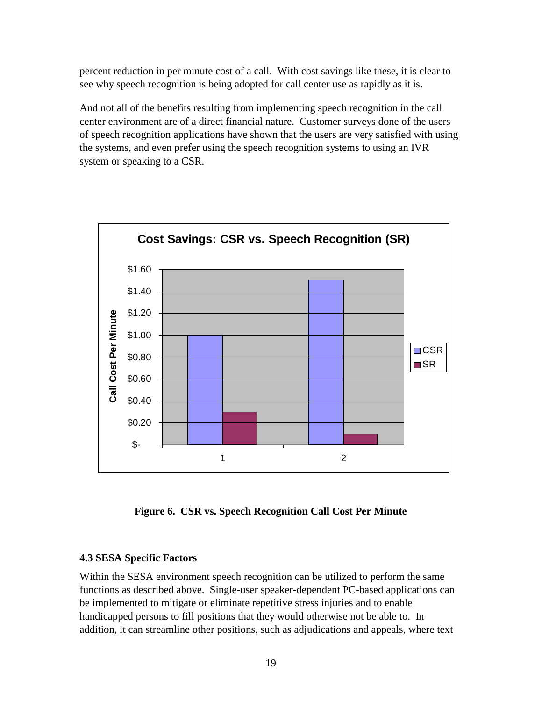<span id="page-24-0"></span>percent reduction in per minute cost of a call. With cost savings like these, it is clear to see why speech recognition is being adopted for call center use as rapidly as it is.

And not all of the benefits resulting from implementing speech recognition in the call center environment are of a direct financial nature. Customer surveys done of the users of speech recognition applications have shown that the users are very satisfied with using the systems, and even prefer using the speech recognition systems to using an IVR system or speaking to a CSR.



**Figure 6. CSR vs. Speech Recognition Call Cost Per Minute** 

#### **4.3 SESA Specific Factors**

Within the SESA environment speech recognition can be utilized to perform the same functions as described above. Single-user speaker-dependent PC-based applications can be implemented to mitigate or eliminate repetitive stress injuries and to enable handicapped persons to fill positions that they would otherwise not be able to. In addition, it can streamline other positions, such as adjudications and appeals, where text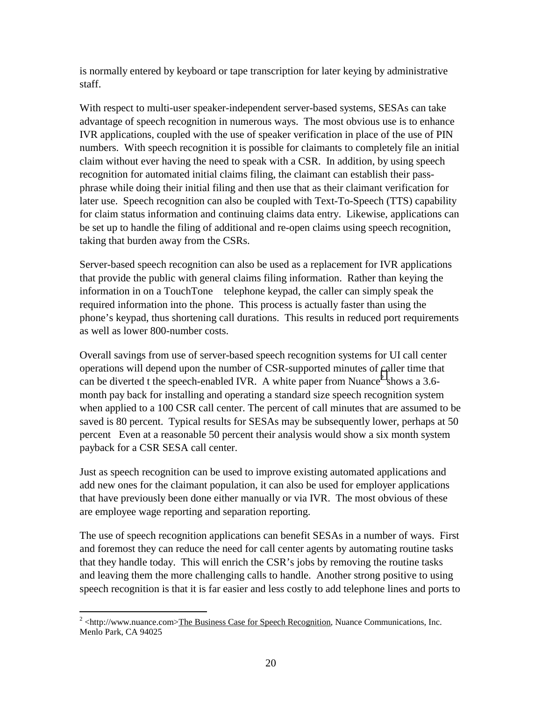is normally entered by keyboard or tape transcription for later keying by administrative staff.

With respect to multi-user speaker-independent server-based systems, SESAs can take advantage of speech recognition in numerous ways. The most obvious use is to enhance IVR applications, coupled with the use of speaker verification in place of the use of PIN numbers. With speech recognition it is possible for claimants to completely file an initial claim without ever having the need to speak with a CSR. In addition, by using speech recognition for automated initial claims filing, the claimant can establish their passphrase while doing their initial filing and then use that as their claimant verification for later use. Speech recognition can also be coupled with Text-To-Speech (TTS) capability for claim status information and continuing claims data entry. Likewise, applications can be set up to handle the filing of additional and re-open claims using speech recognition, taking that burden away from the CSRs.

Server-based speech recognition can also be used as a replacement for IVR applications that provide the public with general claims filing information. Rather than keying the information in on a TouchTone $\circledR$  telephone keypad, the caller can simply speak the required information into the phone. This process is actually faster than using the phone's keypad, thus shortening call durations. This results in reduced port requirements as well as lower 800-number costs.

Overall savings from use of server-based speech recognition systems for UI call center operations will depend upon the number of CSR-supported minutes of caller time that can be diverted t the speech-enabled IVR. A white paper from Nuance<sup>2</sup> shows a 3.6month pay back for installing and operating a standard size speech recognition system when applied to a 100 CSR call center. The percent of call minutes that are assumed to be saved is 80 percent. Typical results for SESAs may be subsequently lower, perhaps at 50 percent Even at a reasonable 50 percent their analysis would show a six month system payback for a CSR SESA call center.

Just as speech recognition can be used to improve existing automated applications and add new ones for the claimant population, it can also be used for employer applications that have previously been done either manually or via IVR. The most obvious of these are employee wage reporting and separation reporting.

The use of speech recognition applications can benefit SESAs in a number of ways. First and foremost they can reduce the need for call center agents by automating routine tasks that they handle today. This will enrich the CSR's jobs by removing the routine tasks and leaving them the more challenging calls to handle. Another strong positive to using speech recognition is that it is far easier and less costly to add telephone lines and ports to

<sup>&</sup>lt;sup>2</sup> <http://www.nuance.com>The Business Case for Speech Recognition, Nuance Communications, Inc. Menlo Park, CA 94025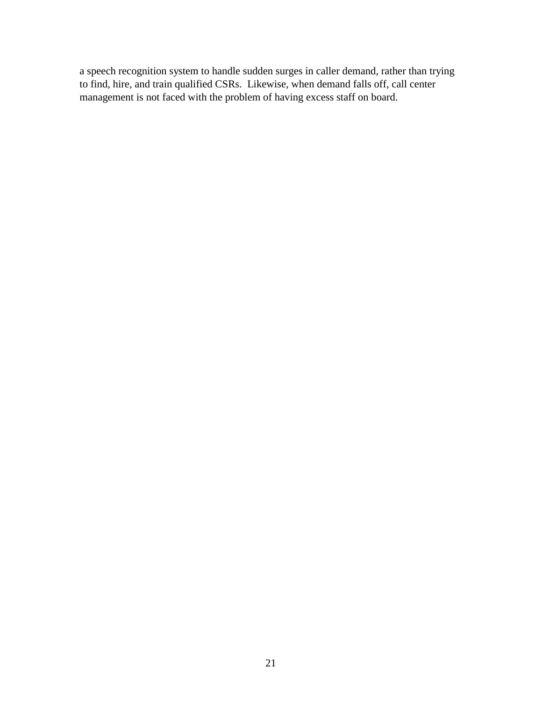a speech recognition system to handle sudden surges in caller demand, rather than trying to find, hire, and train qualified CSRs. Likewise, when demand falls off, call center management is not faced with the problem of having excess staff on board.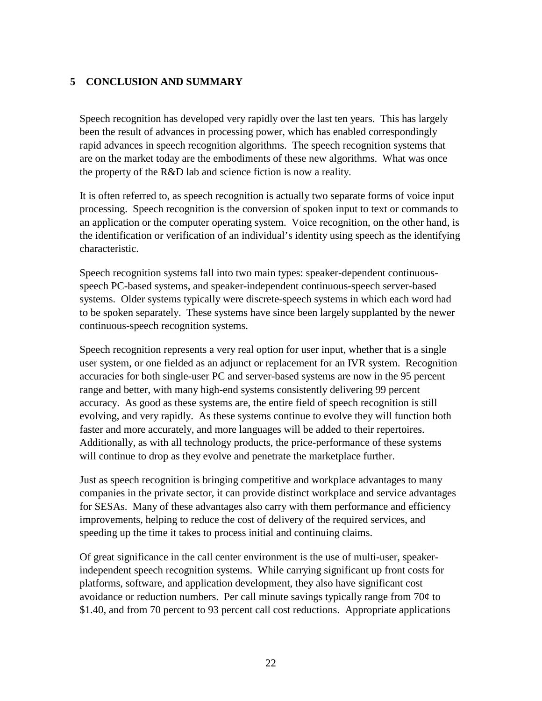#### <span id="page-27-0"></span>**5 CONCLUSION AND SUMMARY**

Speech recognition has developed very rapidly over the last ten years. This has largely been the result of advances in processing power, which has enabled correspondingly rapid advances in speech recognition algorithms. The speech recognition systems that are on the market today are the embodiments of these new algorithms. What was once the property of the R&D lab and science fiction is now a reality.

It is often referred to, as speech recognition is actually two separate forms of voice input processing. Speech recognition is the conversion of spoken input to text or commands to an application or the computer operating system. Voice recognition, on the other hand, is the identification or verification of an individual's identity using speech as the identifying characteristic.

Speech recognition systems fall into two main types: speaker-dependent continuousspeech PC-based systems, and speaker-independent continuous-speech server-based systems. Older systems typically were discrete-speech systems in which each word had to be spoken separately. These systems have since been largely supplanted by the newer continuous-speech recognition systems.

Speech recognition represents a very real option for user input, whether that is a single user system, or one fielded as an adjunct or replacement for an IVR system. Recognition accuracies for both single-user PC and server-based systems are now in the 95 percent range and better, with many high-end systems consistently delivering 99 percent accuracy. As good as these systems are, the entire field of speech recognition is still evolving, and very rapidly. As these systems continue to evolve they will function both faster and more accurately, and more languages will be added to their repertoires. Additionally, as with all technology products, the price-performance of these systems will continue to drop as they evolve and penetrate the marketplace further.

Just as speech recognition is bringing competitive and workplace advantages to many companies in the private sector, it can provide distinct workplace and service advantages for SESAs. Many of these advantages also carry with them performance and efficiency improvements, helping to reduce the cost of delivery of the required services, and speeding up the time it takes to process initial and continuing claims.

Of great significance in the call center environment is the use of multi-user, speakerindependent speech recognition systems. While carrying significant up front costs for platforms, software, and application development, they also have significant cost avoidance or reduction numbers. Per call minute savings typically range from 70¢ to \$1.40, and from 70 percent to 93 percent call cost reductions. Appropriate applications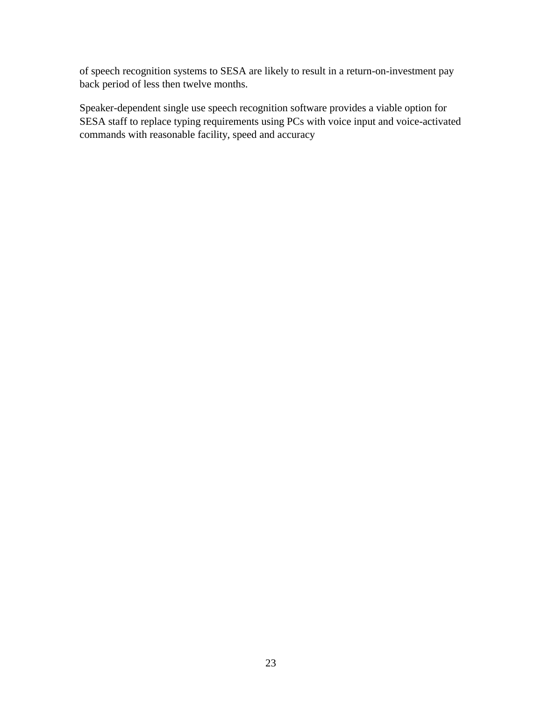of speech recognition systems to SESA are likely to result in a return-on-investment pay back period of less then twelve months.

Speaker-dependent single use speech recognition software provides a viable option for SESA staff to replace typing requirements using PCs with voice input and voice-activated commands with reasonable facility, speed and accuracy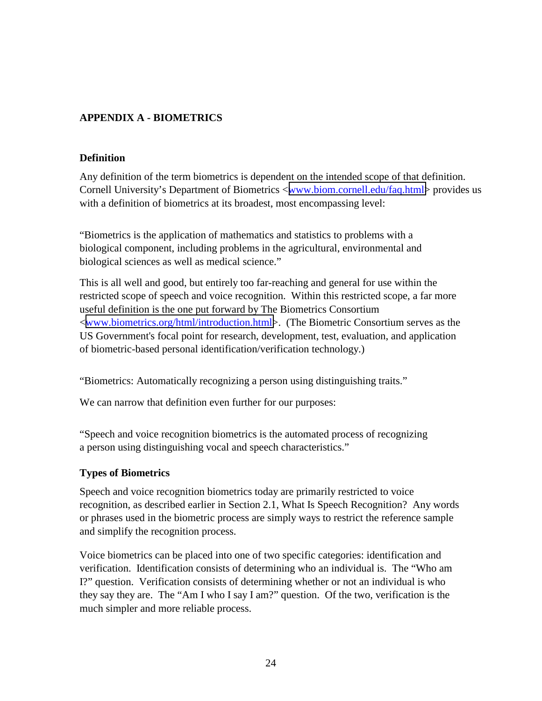#### <span id="page-29-0"></span>**APPENDIX A - BIOMETRICS**

#### **Definition**

Any definition of the term biometrics is dependent on the intended scope of that definition. Cornell University's Department of Biometrics <[www.biom.cornell.edu/faq.html>](http://www.biom.cornell.edu/faq.html) provides us with a definition of biometrics at its broadest, most encompassing level:

"Biometrics is the application of mathematics and statistics to problems with a biological component, including problems in the agricultural, environmental and biological sciences as well as medical science."

This is all well and good, but entirely too far-reaching and general for use within the restricted scope of speech and voice recognition. Within this restricted scope, a far more useful definition is the one put forward by The Biometrics Consortium <[www.biometrics.org/html/introduction.html>](http://www.biometrics.org/html/introduction.html):). (The Biometric Consortium serves as the US Government's focal point for research, development, test, evaluation, and application of biometric-based personal identification/verification technology.)

"Biometrics: Automatically recognizing a person using distinguishing traits."

We can narrow that definition even further for our purposes:

"Speech and voice recognition biometrics is the automated process of recognizing a person using distinguishing vocal and speech characteristics."

#### **Types of Biometrics**

Speech and voice recognition biometrics today are primarily restricted to voice recognition, as described earlier in Section 2.1, What Is Speech Recognition? Any words or phrases used in the biometric process are simply ways to restrict the reference sample and simplify the recognition process.

Voice biometrics can be placed into one of two specific categories: identification and verification. Identification consists of determining who an individual is. The "Who am I?" question. Verification consists of determining whether or not an individual is who they say they are. The "Am I who I say I am?" question. Of the two, verification is the much simpler and more reliable process.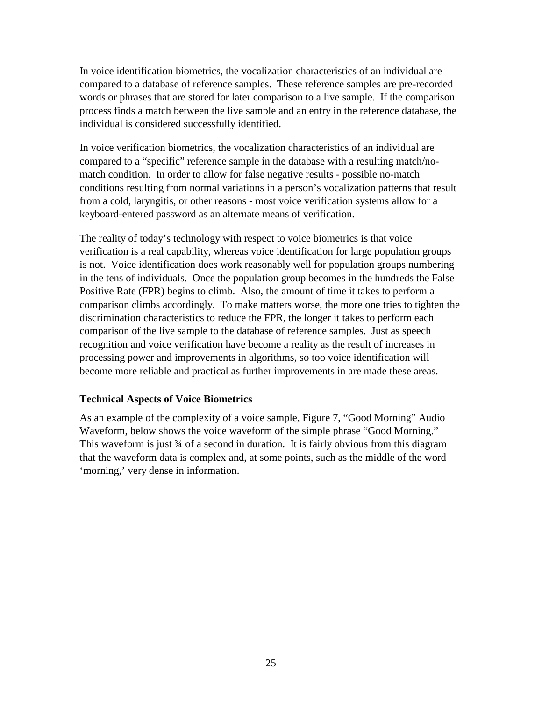<span id="page-30-0"></span>In voice identification biometrics, the vocalization characteristics of an individual are compared to a database of reference samples. These reference samples are pre-recorded words or phrases that are stored for later comparison to a live sample. If the comparison process finds a match between the live sample and an entry in the reference database, the individual is considered successfully identified.

In voice verification biometrics, the vocalization characteristics of an individual are compared to a "specific" reference sample in the database with a resulting match/nomatch condition. In order to allow for false negative results - possible no-match conditions resulting from normal variations in a person's vocalization patterns that result from a cold, laryngitis, or other reasons - most voice verification systems allow for a keyboard-entered password as an alternate means of verification.

The reality of today's technology with respect to voice biometrics is that voice verification is a real capability, whereas voice identification for large population groups is not. Voice identification does work reasonably well for population groups numbering in the tens of individuals. Once the population group becomes in the hundreds the False Positive Rate (FPR) begins to climb. Also, the amount of time it takes to perform a comparison climbs accordingly. To make matters worse, the more one tries to tighten the discrimination characteristics to reduce the FPR, the longer it takes to perform each comparison of the live sample to the database of reference samples. Just as speech recognition and voice verification have become a reality as the result of increases in processing power and improvements in algorithms, so too voice identification will become more reliable and practical as further improvements in are made these areas.

#### **Technical Aspects of Voice Biometrics**

As an example of the complexity of a voice sample, Figure 7, "Good Morning" Audio Waveform, below shows the voice waveform of the simple phrase "Good Morning." This waveform is just 34 of a second in duration. It is fairly obvious from this diagram that the waveform data is complex and, at some points, such as the middle of the word 'morning,' very dense in information.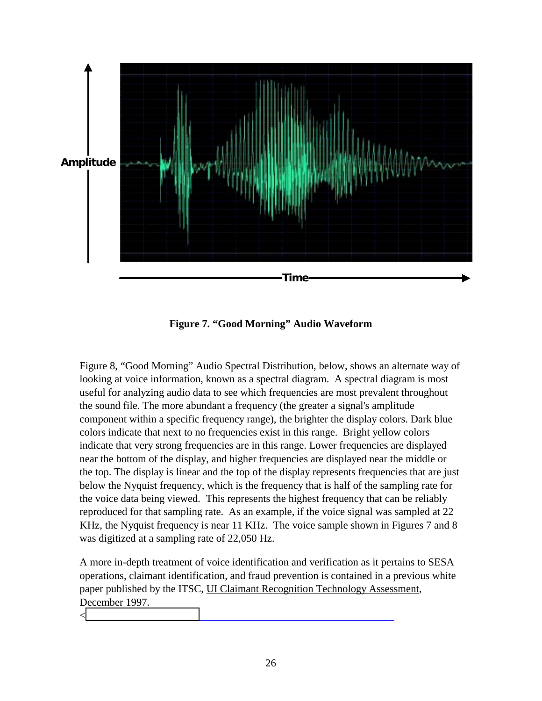<span id="page-31-0"></span>

**Figure 7. "Good Morning" Audio Waveform** 

Figure 8, "Good Morning" Audio Spectral Distribution, below, shows an alternate way of looking at voice information, known as a spectral diagram. A spectral diagram is most useful for analyzing audio data to see which frequencies are most prevalent throughout the sound file. The more abundant a frequency (the greater a signal's amplitude component within a specific frequency range), the brighter the display colors. Dark blue colors indicate that next to no frequencies exist in this range. Bright yellow colors indicate that very strong frequencies are in this range. Lower frequencies are displayed near the bottom of the display, and higher frequencies are displayed near the middle or the top. The display is linear and the top of the display represents frequencies that are just below the Nyquist frequency, which is the frequency that is half of the sampling rate for the voice data being viewed. This represents the highest frequency that can be reliably reproduced for that sampling rate. As an example, if the voice signal was sampled at 22 KHz, the Nyquist frequency is near 11 KHz. The voice sample shown in Figures 7 and 8 was digitized at a sampling rate of 22,050 Hz.

A more in-depth treatment of voice identification and verification as it pertains to SESA operations, claimant identification, and fraud prevention is contained in a previous white paper published by the ITSC, UI Claimant Recognition Technology Assessment, December 1997.

 $\lt$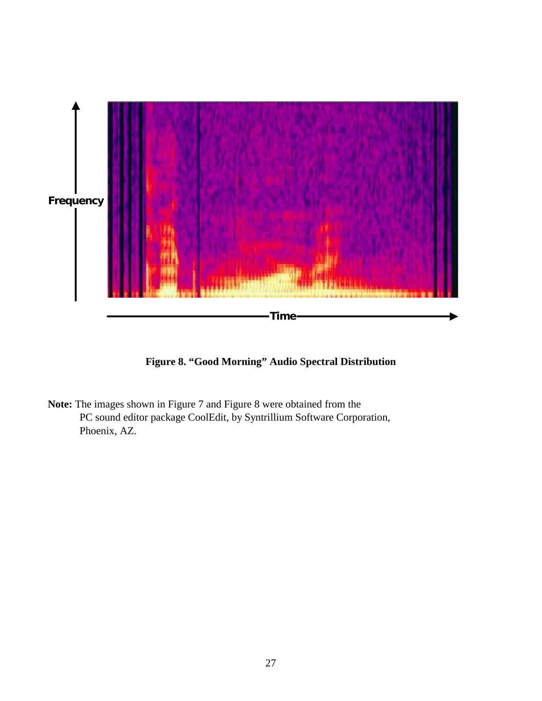<span id="page-32-0"></span>

**Figure 8. "Good Morning" Audio Spectral Distribution** 

**Note:** The images shown in Figure 7 and Figure 8 were obtained from the PC sound editor package CoolEdit, by Syntrillium Software Corporation, Phoenix, AZ.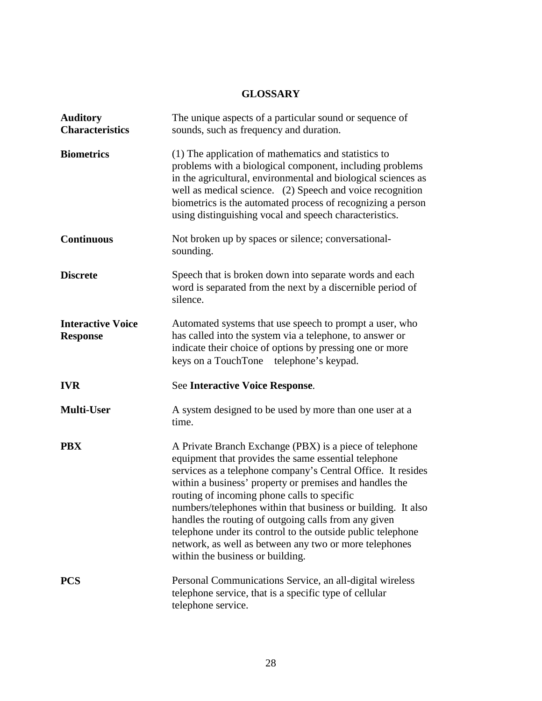#### **GLOSSARY**

<span id="page-33-0"></span>

| <b>Auditory</b><br><b>Characteristics</b>   | The unique aspects of a particular sound or sequence of<br>sounds, such as frequency and duration.                                                                                                                                                                                                                                                                                                                                                                                                                                                                             |
|---------------------------------------------|--------------------------------------------------------------------------------------------------------------------------------------------------------------------------------------------------------------------------------------------------------------------------------------------------------------------------------------------------------------------------------------------------------------------------------------------------------------------------------------------------------------------------------------------------------------------------------|
| <b>Biometrics</b>                           | (1) The application of mathematics and statistics to<br>problems with a biological component, including problems<br>in the agricultural, environmental and biological sciences as<br>well as medical science. (2) Speech and voice recognition<br>biometrics is the automated process of recognizing a person<br>using distinguishing vocal and speech characteristics.                                                                                                                                                                                                        |
| <b>Continuous</b>                           | Not broken up by spaces or silence; conversational-<br>sounding.                                                                                                                                                                                                                                                                                                                                                                                                                                                                                                               |
| <b>Discrete</b>                             | Speech that is broken down into separate words and each<br>word is separated from the next by a discernible period of<br>silence.                                                                                                                                                                                                                                                                                                                                                                                                                                              |
| <b>Interactive Voice</b><br><b>Response</b> | Automated systems that use speech to prompt a user, who<br>has called into the system via a telephone, to answer or<br>indicate their choice of options by pressing one or more<br>keys on a TouchTone® telephone's keypad.                                                                                                                                                                                                                                                                                                                                                    |
| <b>IVR</b>                                  | <b>See Interactive Voice Response.</b>                                                                                                                                                                                                                                                                                                                                                                                                                                                                                                                                         |
| <b>Multi-User</b>                           | A system designed to be used by more than one user at a<br>time.                                                                                                                                                                                                                                                                                                                                                                                                                                                                                                               |
| <b>PBX</b>                                  | A Private Branch Exchange (PBX) is a piece of telephone<br>equipment that provides the same essential telephone<br>services as a telephone company's Central Office. It resides<br>within a business' property or premises and handles the<br>routing of incoming phone calls to specific<br>numbers/telephones within that business or building. It also<br>handles the routing of outgoing calls from any given<br>telephone under its control to the outside public telephone<br>network, as well as between any two or more telephones<br>within the business or building. |
| <b>PCS</b>                                  | Personal Communications Service, an all-digital wireless<br>telephone service, that is a specific type of cellular<br>telephone service.                                                                                                                                                                                                                                                                                                                                                                                                                                       |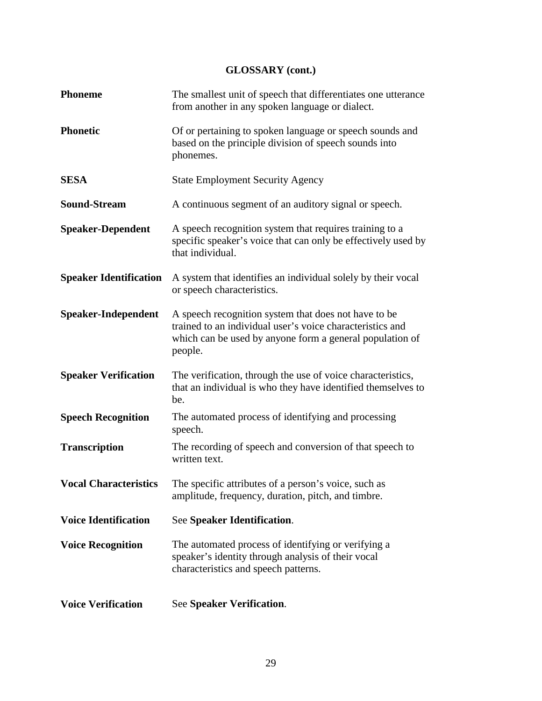### **GLOSSARY (cont.)**

| <b>Phoneme</b>                | The smallest unit of speech that differentiates one utterance<br>from another in any spoken language or dialect.                                                                         |
|-------------------------------|------------------------------------------------------------------------------------------------------------------------------------------------------------------------------------------|
| <b>Phonetic</b>               | Of or pertaining to spoken language or speech sounds and<br>based on the principle division of speech sounds into<br>phonemes.                                                           |
| <b>SESA</b>                   | <b>State Employment Security Agency</b>                                                                                                                                                  |
| <b>Sound-Stream</b>           | A continuous segment of an auditory signal or speech.                                                                                                                                    |
| <b>Speaker-Dependent</b>      | A speech recognition system that requires training to a<br>specific speaker's voice that can only be effectively used by<br>that individual.                                             |
| <b>Speaker Identification</b> | A system that identifies an individual solely by their vocal<br>or speech characteristics.                                                                                               |
| <b>Speaker-Independent</b>    | A speech recognition system that does not have to be<br>trained to an individual user's voice characteristics and<br>which can be used by anyone form a general population of<br>people. |
| <b>Speaker Verification</b>   | The verification, through the use of voice characteristics,<br>that an individual is who they have identified themselves to<br>be.                                                       |
| <b>Speech Recognition</b>     | The automated process of identifying and processing<br>speech.                                                                                                                           |
| <b>Transcription</b>          | The recording of speech and conversion of that speech to<br>written text.                                                                                                                |
| <b>Vocal Characteristics</b>  | The specific attributes of a person's voice, such as<br>amplitude, frequency, duration, pitch, and timbre.                                                                               |
| <b>Voice Identification</b>   | See Speaker Identification.                                                                                                                                                              |
| <b>Voice Recognition</b>      | The automated process of identifying or verifying a<br>speaker's identity through analysis of their vocal<br>characteristics and speech patterns.                                        |
| <b>Voice Verification</b>     | See Speaker Verification.                                                                                                                                                                |